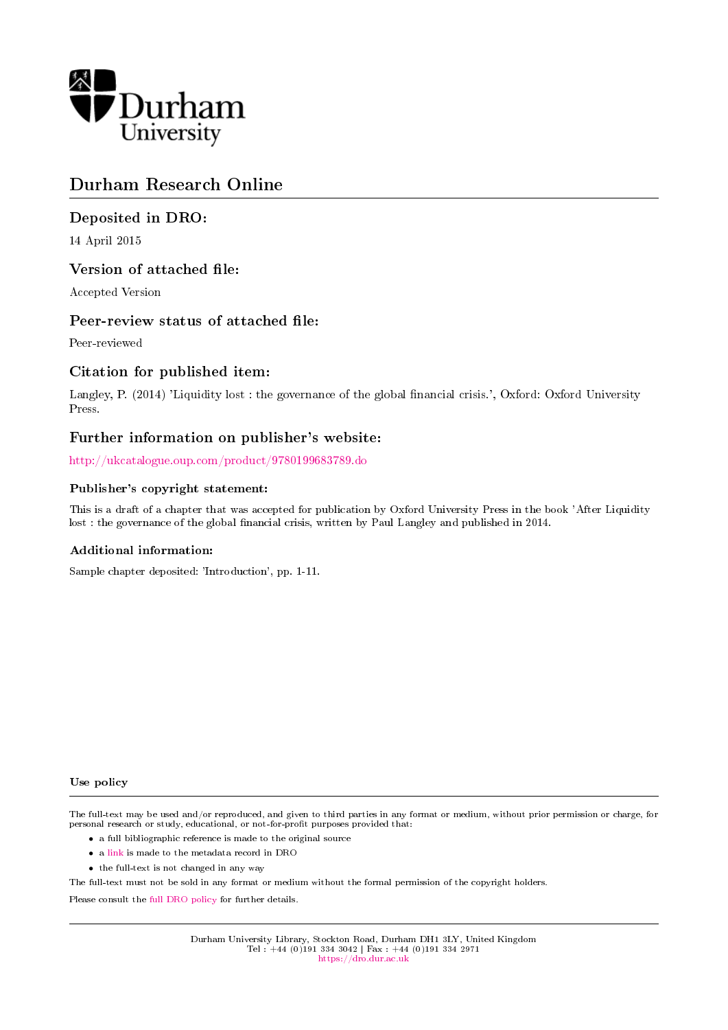

# Durham Research Online

## Deposited in DRO:

14 April 2015

## Version of attached file:

Accepted Version

## Peer-review status of attached file:

Peer-reviewed

## Citation for published item:

Langley, P. (2014) 'Liquidity lost : the governance of the global financial crisis.', Oxford: Oxford University Press.

## Further information on publisher's website:

<http://ukcatalogue.oup.com/product/9780199683789.do>

### Publisher's copyright statement:

This is a draft of a chapter that was accepted for publication by Oxford University Press in the book 'After Liquidity lost : the governance of the global financial crisis, written by Paul Langley and published in 2014.

### Additional information:

Sample chapter deposited: 'Introduction', pp. 1-11.

#### Use policy

The full-text may be used and/or reproduced, and given to third parties in any format or medium, without prior permission or charge, for personal research or study, educational, or not-for-profit purposes provided that:

- a full bibliographic reference is made to the original source
- a [link](http://dro.dur.ac.uk/15026/) is made to the metadata record in DRO
- the full-text is not changed in any way

The full-text must not be sold in any format or medium without the formal permission of the copyright holders.

Please consult the [full DRO policy](https://dro.dur.ac.uk/policies/usepolicy.pdf) for further details.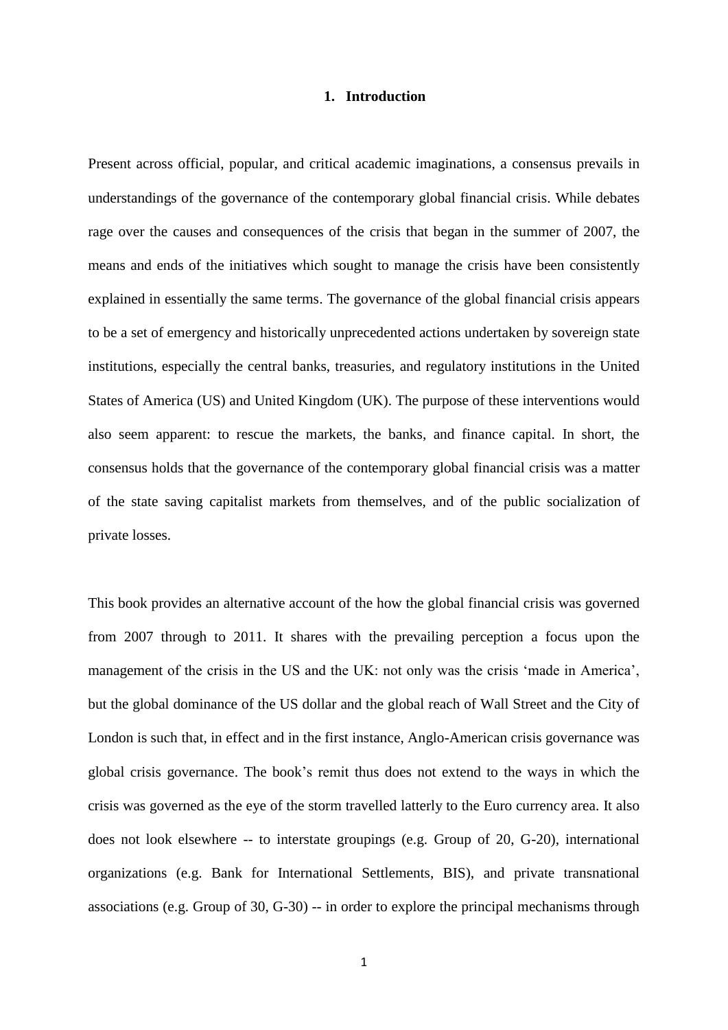### **1. Introduction**

Present across official, popular, and critical academic imaginations, a consensus prevails in understandings of the governance of the contemporary global financial crisis. While debates rage over the causes and consequences of the crisis that began in the summer of 2007, the means and ends of the initiatives which sought to manage the crisis have been consistently explained in essentially the same terms. The governance of the global financial crisis appears to be a set of emergency and historically unprecedented actions undertaken by sovereign state institutions, especially the central banks, treasuries, and regulatory institutions in the United States of America (US) and United Kingdom (UK). The purpose of these interventions would also seem apparent: to rescue the markets, the banks, and finance capital. In short, the consensus holds that the governance of the contemporary global financial crisis was a matter of the state saving capitalist markets from themselves, and of the public socialization of private losses.

This book provides an alternative account of the how the global financial crisis was governed from 2007 through to 2011. It shares with the prevailing perception a focus upon the management of the crisis in the US and the UK: not only was the crisis 'made in America', but the global dominance of the US dollar and the global reach of Wall Street and the City of London is such that, in effect and in the first instance, Anglo-American crisis governance was global crisis governance. The book's remit thus does not extend to the ways in which the crisis was governed as the eye of the storm travelled latterly to the Euro currency area. It also does not look elsewhere -- to interstate groupings (e.g. Group of 20, G-20), international organizations (e.g. Bank for International Settlements, BIS), and private transnational associations (e.g. Group of 30, G-30) -- in order to explore the principal mechanisms through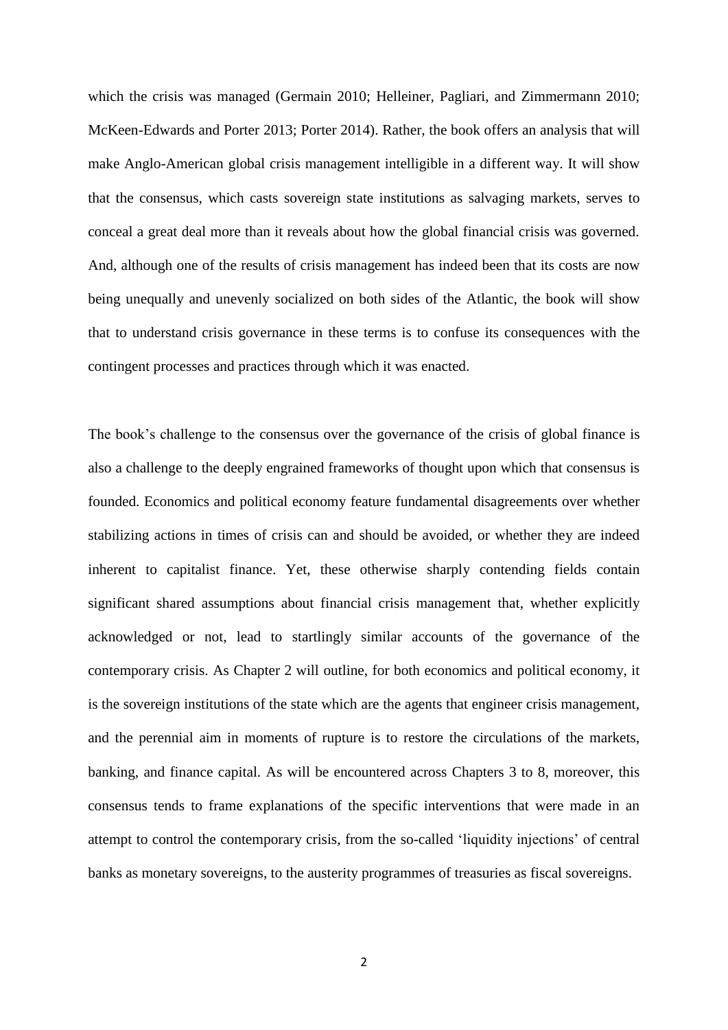which the crisis was managed (Germain 2010; Helleiner, Pagliari, and Zimmermann 2010; McKeen-Edwards and Porter 2013; Porter 2014). Rather, the book offers an analysis that will make Anglo-American global crisis management intelligible in a different way. It will show that the consensus, which casts sovereign state institutions as salvaging markets, serves to conceal a great deal more than it reveals about how the global financial crisis was governed. And, although one of the results of crisis management has indeed been that its costs are now being unequally and unevenly socialized on both sides of the Atlantic, the book will show that to understand crisis governance in these terms is to confuse its consequences with the contingent processes and practices through which it was enacted.

The book's challenge to the consensus over the governance of the crisis of global finance is also a challenge to the deeply engrained frameworks of thought upon which that consensus is founded. Economics and political economy feature fundamental disagreements over whether stabilizing actions in times of crisis can and should be avoided, or whether they are indeed inherent to capitalist finance. Yet, these otherwise sharply contending fields contain significant shared assumptions about financial crisis management that, whether explicitly acknowledged or not, lead to startlingly similar accounts of the governance of the contemporary crisis. As Chapter 2 will outline, for both economics and political economy, it is the sovereign institutions of the state which are the agents that engineer crisis management, and the perennial aim in moments of rupture is to restore the circulations of the markets, banking, and finance capital. As will be encountered across Chapters 3 to 8, moreover, this consensus tends to frame explanations of the specific interventions that were made in an attempt to control the contemporary crisis, from the so-called 'liquidity injections' of central banks as monetary sovereigns, to the austerity programmes of treasuries as fiscal sovereigns.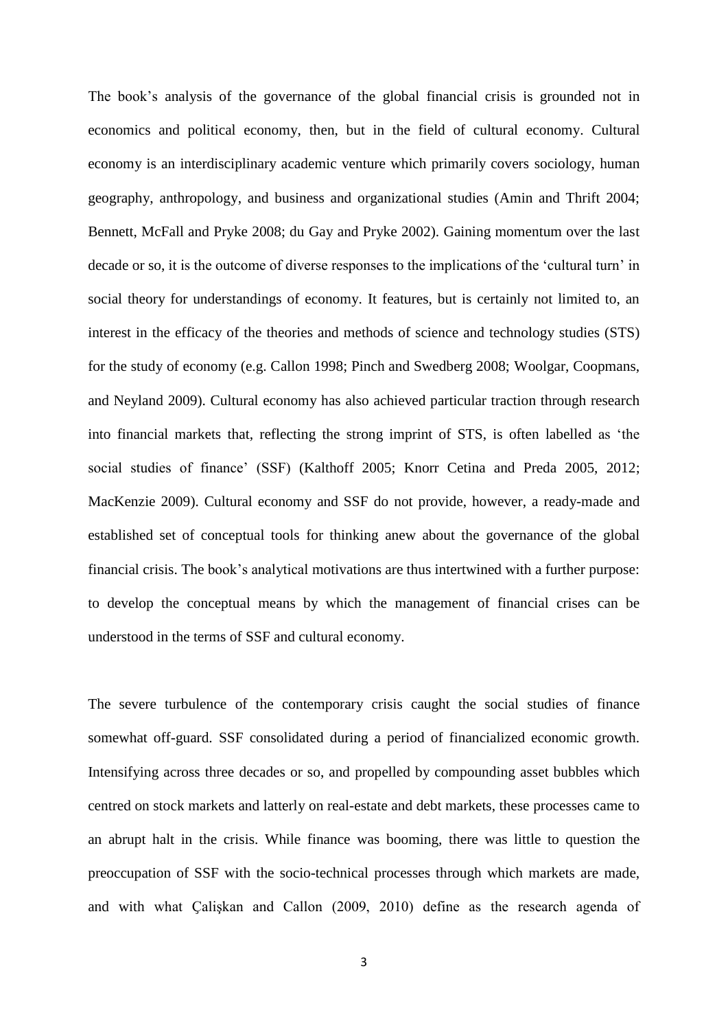The book's analysis of the governance of the global financial crisis is grounded not in economics and political economy, then, but in the field of cultural economy. Cultural economy is an interdisciplinary academic venture which primarily covers sociology, human geography, anthropology, and business and organizational studies (Amin and Thrift 2004; Bennett, McFall and Pryke 2008; du Gay and Pryke 2002). Gaining momentum over the last decade or so, it is the outcome of diverse responses to the implications of the 'cultural turn' in social theory for understandings of economy. It features, but is certainly not limited to, an interest in the efficacy of the theories and methods of science and technology studies (STS) for the study of economy (e.g. Callon 1998; Pinch and Swedberg 2008; Woolgar, Coopmans, and Neyland 2009). Cultural economy has also achieved particular traction through research into financial markets that, reflecting the strong imprint of STS, is often labelled as 'the social studies of finance' (SSF) (Kalthoff 2005; Knorr Cetina and Preda 2005, 2012; MacKenzie 2009). Cultural economy and SSF do not provide, however, a ready-made and established set of conceptual tools for thinking anew about the governance of the global financial crisis. The book's analytical motivations are thus intertwined with a further purpose: to develop the conceptual means by which the management of financial crises can be understood in the terms of SSF and cultural economy.

The severe turbulence of the contemporary crisis caught the social studies of finance somewhat off-guard. SSF consolidated during a period of financialized economic growth. Intensifying across three decades or so, and propelled by compounding asset bubbles which centred on stock markets and latterly on real-estate and debt markets, these processes came to an abrupt halt in the crisis. While finance was booming, there was little to question the preoccupation of SSF with the socio-technical processes through which markets are made, and with what Ҫalişkan and Callon (2009, 2010) define as the research agenda of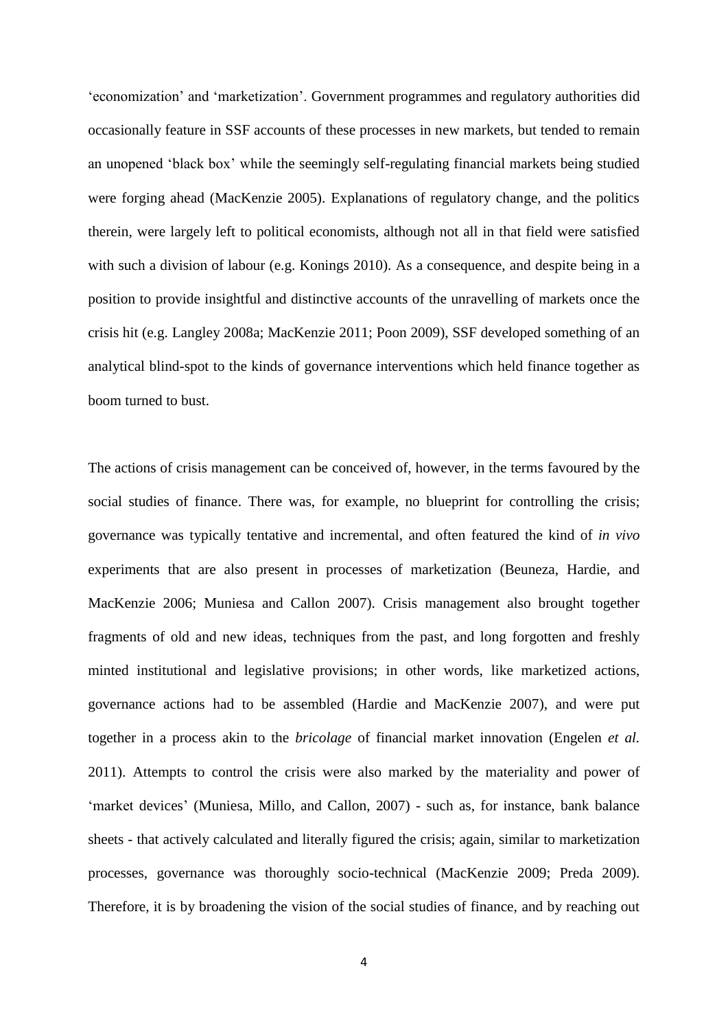'economization' and 'marketization'. Government programmes and regulatory authorities did occasionally feature in SSF accounts of these processes in new markets, but tended to remain an unopened 'black box' while the seemingly self-regulating financial markets being studied were forging ahead (MacKenzie 2005). Explanations of regulatory change, and the politics therein, were largely left to political economists, although not all in that field were satisfied with such a division of labour (e.g. Konings 2010). As a consequence, and despite being in a position to provide insightful and distinctive accounts of the unravelling of markets once the crisis hit (e.g. Langley 2008a; MacKenzie 2011; Poon 2009), SSF developed something of an analytical blind-spot to the kinds of governance interventions which held finance together as boom turned to bust.

The actions of crisis management can be conceived of, however, in the terms favoured by the social studies of finance. There was, for example, no blueprint for controlling the crisis; governance was typically tentative and incremental, and often featured the kind of *in vivo* experiments that are also present in processes of marketization (Beuneza, Hardie, and MacKenzie 2006; Muniesa and Callon 2007). Crisis management also brought together fragments of old and new ideas, techniques from the past, and long forgotten and freshly minted institutional and legislative provisions; in other words, like marketized actions, governance actions had to be assembled (Hardie and MacKenzie 2007), and were put together in a process akin to the *bricolage* of financial market innovation (Engelen *et al.* 2011). Attempts to control the crisis were also marked by the materiality and power of 'market devices' (Muniesa, Millo, and Callon, 2007) - such as, for instance, bank balance sheets - that actively calculated and literally figured the crisis; again, similar to marketization processes, governance was thoroughly socio-technical (MacKenzie 2009; Preda 2009). Therefore, it is by broadening the vision of the social studies of finance, and by reaching out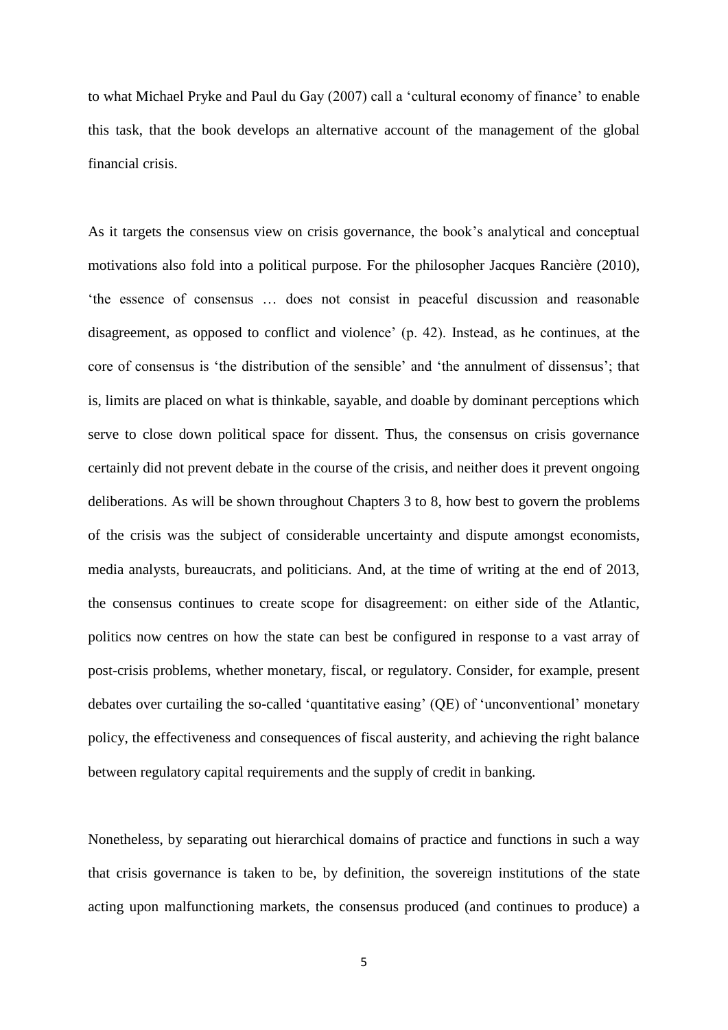to what Michael Pryke and Paul du Gay (2007) call a 'cultural economy of finance' to enable this task, that the book develops an alternative account of the management of the global financial crisis.

As it targets the consensus view on crisis governance, the book's analytical and conceptual motivations also fold into a political purpose. For the philosopher Jacques Rancière (2010), 'the essence of consensus … does not consist in peaceful discussion and reasonable disagreement, as opposed to conflict and violence' (p. 42). Instead, as he continues, at the core of consensus is 'the distribution of the sensible' and 'the annulment of dissensus'; that is, limits are placed on what is thinkable, sayable, and doable by dominant perceptions which serve to close down political space for dissent. Thus, the consensus on crisis governance certainly did not prevent debate in the course of the crisis, and neither does it prevent ongoing deliberations. As will be shown throughout Chapters 3 to 8, how best to govern the problems of the crisis was the subject of considerable uncertainty and dispute amongst economists, media analysts, bureaucrats, and politicians. And, at the time of writing at the end of 2013, the consensus continues to create scope for disagreement: on either side of the Atlantic, politics now centres on how the state can best be configured in response to a vast array of post-crisis problems, whether monetary, fiscal, or regulatory. Consider, for example, present debates over curtailing the so-called 'quantitative easing' (QE) of 'unconventional' monetary policy, the effectiveness and consequences of fiscal austerity, and achieving the right balance between regulatory capital requirements and the supply of credit in banking.

Nonetheless, by separating out hierarchical domains of practice and functions in such a way that crisis governance is taken to be, by definition, the sovereign institutions of the state acting upon malfunctioning markets, the consensus produced (and continues to produce) a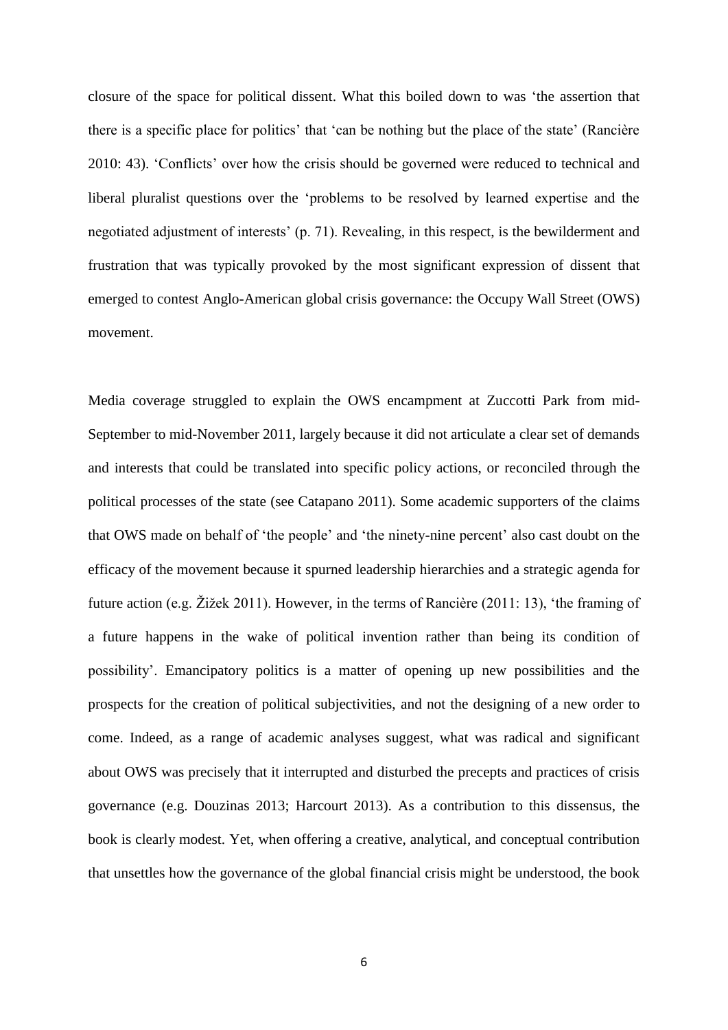closure of the space for political dissent. What this boiled down to was 'the assertion that there is a specific place for politics' that 'can be nothing but the place of the state' (Rancière 2010: 43). 'Conflicts' over how the crisis should be governed were reduced to technical and liberal pluralist questions over the 'problems to be resolved by learned expertise and the negotiated adjustment of interests' (p. 71). Revealing, in this respect, is the bewilderment and frustration that was typically provoked by the most significant expression of dissent that emerged to contest Anglo-American global crisis governance: the Occupy Wall Street (OWS) movement.

Media coverage struggled to explain the OWS encampment at Zuccotti Park from mid-September to mid-November 2011, largely because it did not articulate a clear set of demands and interests that could be translated into specific policy actions, or reconciled through the political processes of the state (see Catapano 2011). Some academic supporters of the claims that OWS made on behalf of 'the people' and 'the ninety-nine percent' also cast doubt on the efficacy of the movement because it spurned leadership hierarchies and a strategic agenda for future action (e.g. Žižek 2011). However, in the terms of Rancière (2011: 13), 'the framing of a future happens in the wake of political invention rather than being its condition of possibility'. Emancipatory politics is a matter of opening up new possibilities and the prospects for the creation of political subjectivities, and not the designing of a new order to come. Indeed, as a range of academic analyses suggest, what was radical and significant about OWS was precisely that it interrupted and disturbed the precepts and practices of crisis governance (e.g. Douzinas 2013; Harcourt 2013). As a contribution to this dissensus, the book is clearly modest. Yet, when offering a creative, analytical, and conceptual contribution that unsettles how the governance of the global financial crisis might be understood, the book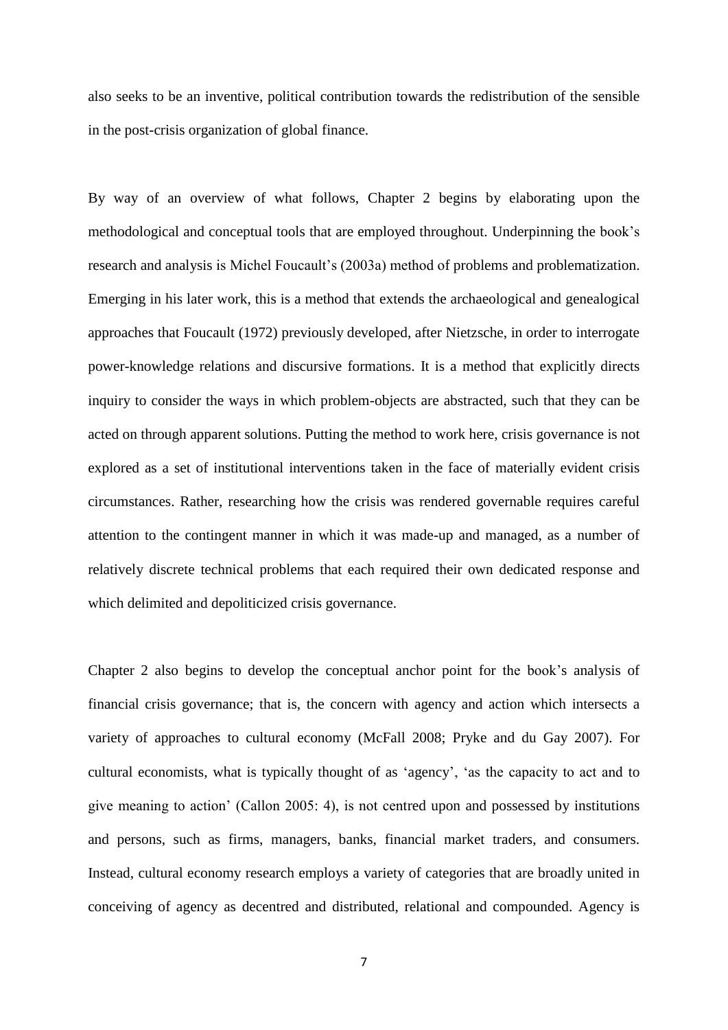also seeks to be an inventive, political contribution towards the redistribution of the sensible in the post-crisis organization of global finance.

By way of an overview of what follows, Chapter 2 begins by elaborating upon the methodological and conceptual tools that are employed throughout. Underpinning the book's research and analysis is Michel Foucault's (2003a) method of problems and problematization. Emerging in his later work, this is a method that extends the archaeological and genealogical approaches that Foucault (1972) previously developed, after Nietzsche, in order to interrogate power-knowledge relations and discursive formations. It is a method that explicitly directs inquiry to consider the ways in which problem-objects are abstracted, such that they can be acted on through apparent solutions. Putting the method to work here, crisis governance is not explored as a set of institutional interventions taken in the face of materially evident crisis circumstances. Rather, researching how the crisis was rendered governable requires careful attention to the contingent manner in which it was made-up and managed, as a number of relatively discrete technical problems that each required their own dedicated response and which delimited and depoliticized crisis governance.

Chapter 2 also begins to develop the conceptual anchor point for the book's analysis of financial crisis governance; that is, the concern with agency and action which intersects a variety of approaches to cultural economy (McFall 2008; Pryke and du Gay 2007). For cultural economists, what is typically thought of as 'agency', 'as the capacity to act and to give meaning to action' (Callon 2005: 4), is not centred upon and possessed by institutions and persons, such as firms, managers, banks, financial market traders, and consumers. Instead, cultural economy research employs a variety of categories that are broadly united in conceiving of agency as decentred and distributed, relational and compounded. Agency is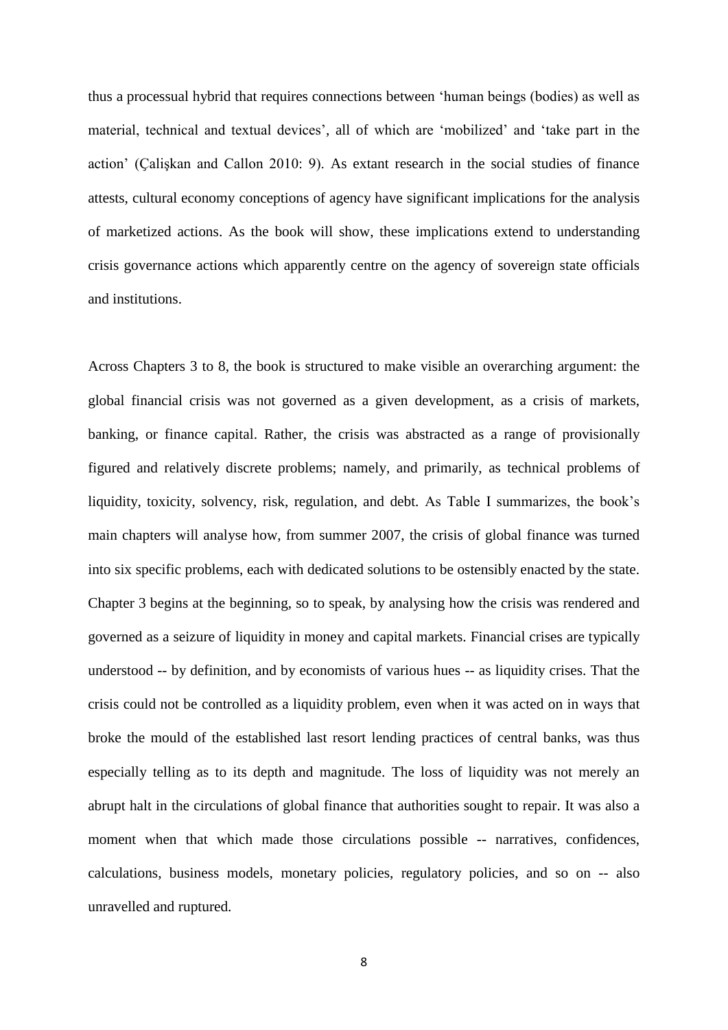thus a processual hybrid that requires connections between 'human beings (bodies) as well as material, technical and textual devices', all of which are 'mobilized' and 'take part in the action' (Ҫalişkan and Callon 2010: 9). As extant research in the social studies of finance attests, cultural economy conceptions of agency have significant implications for the analysis of marketized actions. As the book will show, these implications extend to understanding crisis governance actions which apparently centre on the agency of sovereign state officials and institutions.

Across Chapters 3 to 8, the book is structured to make visible an overarching argument: the global financial crisis was not governed as a given development, as a crisis of markets, banking, or finance capital. Rather, the crisis was abstracted as a range of provisionally figured and relatively discrete problems; namely, and primarily, as technical problems of liquidity, toxicity, solvency, risk, regulation, and debt. As Table I summarizes, the book's main chapters will analyse how, from summer 2007, the crisis of global finance was turned into six specific problems, each with dedicated solutions to be ostensibly enacted by the state. Chapter 3 begins at the beginning, so to speak, by analysing how the crisis was rendered and governed as a seizure of liquidity in money and capital markets. Financial crises are typically understood -- by definition, and by economists of various hues -- as liquidity crises. That the crisis could not be controlled as a liquidity problem, even when it was acted on in ways that broke the mould of the established last resort lending practices of central banks, was thus especially telling as to its depth and magnitude. The loss of liquidity was not merely an abrupt halt in the circulations of global finance that authorities sought to repair. It was also a moment when that which made those circulations possible -- narratives, confidences, calculations, business models, monetary policies, regulatory policies, and so on -- also unravelled and ruptured.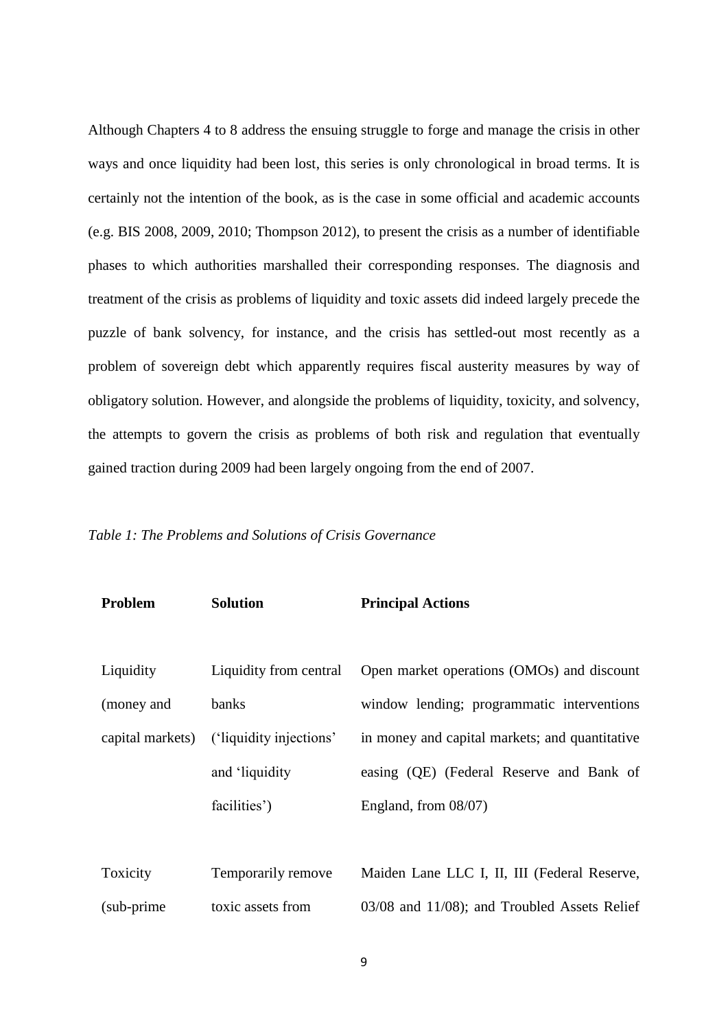Although Chapters 4 to 8 address the ensuing struggle to forge and manage the crisis in other ways and once liquidity had been lost, this series is only chronological in broad terms. It is certainly not the intention of the book, as is the case in some official and academic accounts (e.g. BIS 2008, 2009, 2010; Thompson 2012), to present the crisis as a number of identifiable phases to which authorities marshalled their corresponding responses. The diagnosis and treatment of the crisis as problems of liquidity and toxic assets did indeed largely precede the puzzle of bank solvency, for instance, and the crisis has settled-out most recently as a problem of sovereign debt which apparently requires fiscal austerity measures by way of obligatory solution. However, and alongside the problems of liquidity, toxicity, and solvency, the attempts to govern the crisis as problems of both risk and regulation that eventually gained traction during 2009 had been largely ongoing from the end of 2007.

#### *Table 1: The Problems and Solutions of Crisis Governance*

| Problem     | <b>Solution</b>                          | <b>Principal Actions</b>                       |
|-------------|------------------------------------------|------------------------------------------------|
|             |                                          |                                                |
| Liquidity   | Liquidity from central                   | Open market operations (OMOs) and discount     |
| (money and  | banks                                    | window lending; programmatic interventions     |
|             | capital markets) ('liquidity injections' | in money and capital markets; and quantitative |
|             | and 'liquidity                           | easing (QE) (Federal Reserve and Bank of       |
|             | facilities')                             | England, from 08/07)                           |
|             |                                          |                                                |
| Toxicity    | Temporarily remove                       | Maiden Lane LLC I, II, III (Federal Reserve,   |
| (sub-prime) | toxic assets from                        | 03/08 and 11/08); and Troubled Assets Relief   |

9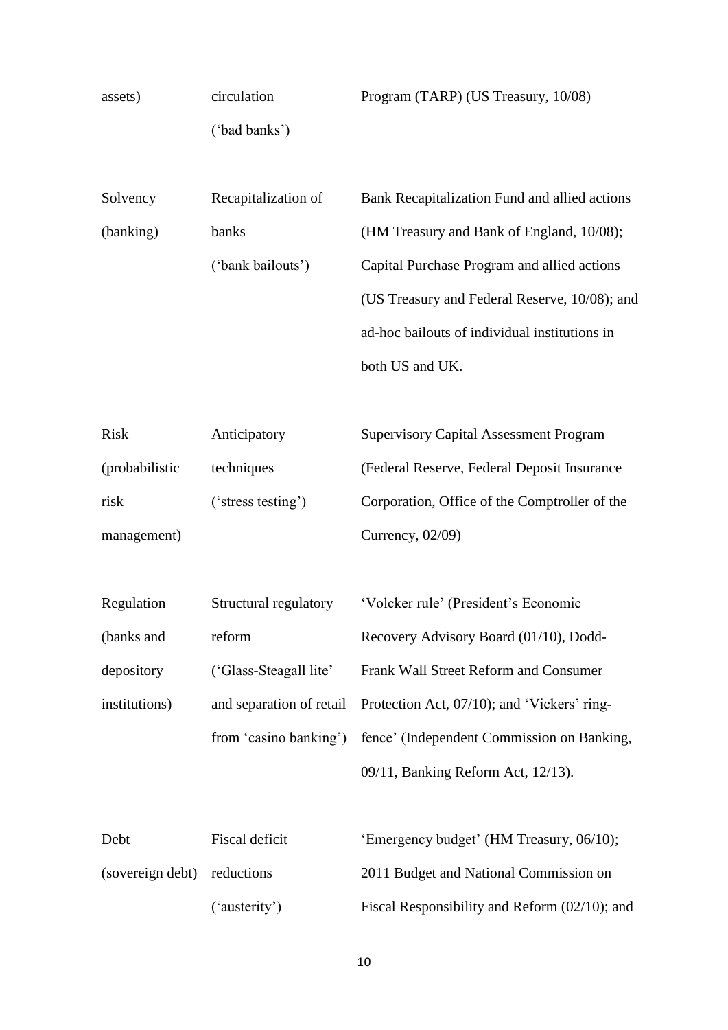| assets)        | circulation              | Program (TARP) (US Treasury, 10/08)           |
|----------------|--------------------------|-----------------------------------------------|
|                | ('bad banks')            |                                               |
|                |                          |                                               |
| Solvency       | Recapitalization of      | Bank Recapitalization Fund and allied actions |
| (banking)      | banks                    | (HM Treasury and Bank of England, 10/08);     |
|                | ('bank bailouts')        | Capital Purchase Program and allied actions   |
|                |                          | (US Treasury and Federal Reserve, 10/08); and |
|                |                          | ad-hoc bailouts of individual institutions in |
|                |                          | both US and UK.                               |
|                |                          |                                               |
| <b>Risk</b>    | Anticipatory             | <b>Supervisory Capital Assessment Program</b> |
| (probabilistic | techniques               | (Federal Reserve, Federal Deposit Insurance   |
| risk           | ('stress testing')       | Corporation, Office of the Comptroller of the |
| management)    |                          | Currency, 02/09)                              |
|                |                          |                                               |
| Regulation     | Structural regulatory    | 'Volcker rule' (President's Economic          |
| (banks and     | reform                   | Recovery Advisory Board (01/10), Dodd-        |
| depository     | ('Glass-Steagall lite'   | Frank Wall Street Reform and Consumer         |
| institutions)  | and separation of retail | Protection Act, 07/10); and 'Vickers' ring-   |

from 'casino banking') fence' (Independent Commission on Banking, 09/11, Banking Reform Act, 12/13).

| Debt                        | Fiscal deficit | 'Emergency budget' (HM Treasury, 06/10);         |
|-----------------------------|----------------|--------------------------------------------------|
| (sovereign debt) reductions |                | 2011 Budget and National Commission on           |
|                             | ('austerity')  | Fiscal Responsibility and Reform $(02/10)$ ; and |

10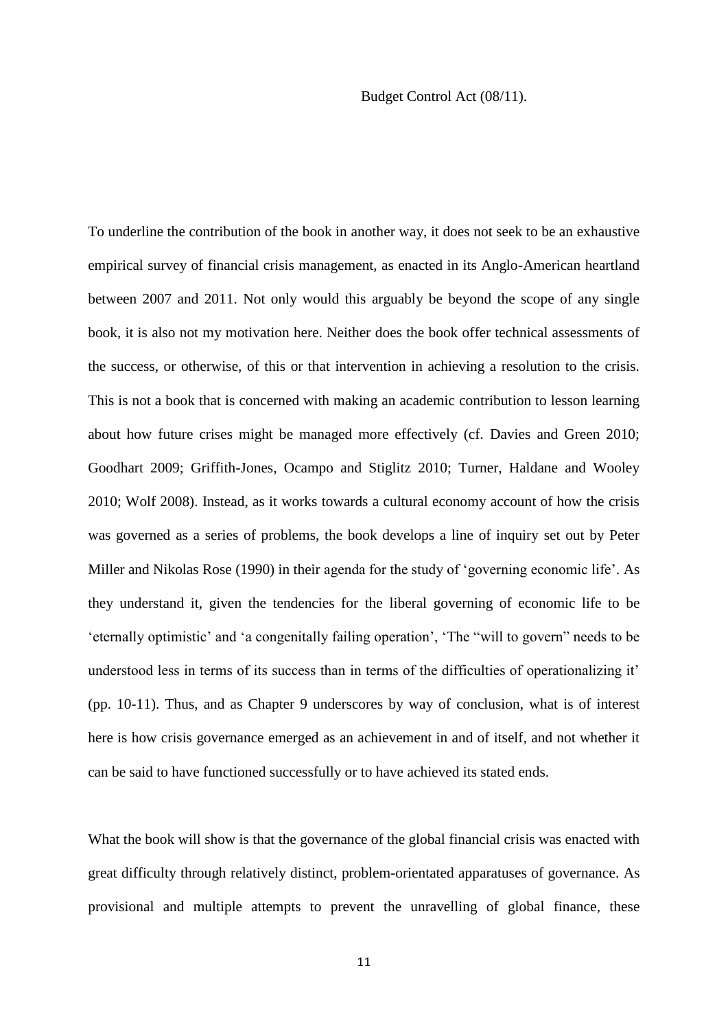#### Budget Control Act (08/11).

To underline the contribution of the book in another way, it does not seek to be an exhaustive empirical survey of financial crisis management, as enacted in its Anglo-American heartland between 2007 and 2011. Not only would this arguably be beyond the scope of any single book, it is also not my motivation here. Neither does the book offer technical assessments of the success, or otherwise, of this or that intervention in achieving a resolution to the crisis. This is not a book that is concerned with making an academic contribution to lesson learning about how future crises might be managed more effectively (cf. Davies and Green 2010; Goodhart 2009; Griffith-Jones, Ocampo and Stiglitz 2010; Turner, Haldane and Wooley 2010; Wolf 2008). Instead, as it works towards a cultural economy account of how the crisis was governed as a series of problems, the book develops a line of inquiry set out by Peter Miller and Nikolas Rose (1990) in their agenda for the study of 'governing economic life'. As they understand it, given the tendencies for the liberal governing of economic life to be 'eternally optimistic' and 'a congenitally failing operation', 'The "will to govern" needs to be understood less in terms of its success than in terms of the difficulties of operationalizing it' (pp. 10-11). Thus, and as Chapter 9 underscores by way of conclusion, what is of interest here is how crisis governance emerged as an achievement in and of itself, and not whether it can be said to have functioned successfully or to have achieved its stated ends.

What the book will show is that the governance of the global financial crisis was enacted with great difficulty through relatively distinct, problem-orientated apparatuses of governance. As provisional and multiple attempts to prevent the unravelling of global finance, these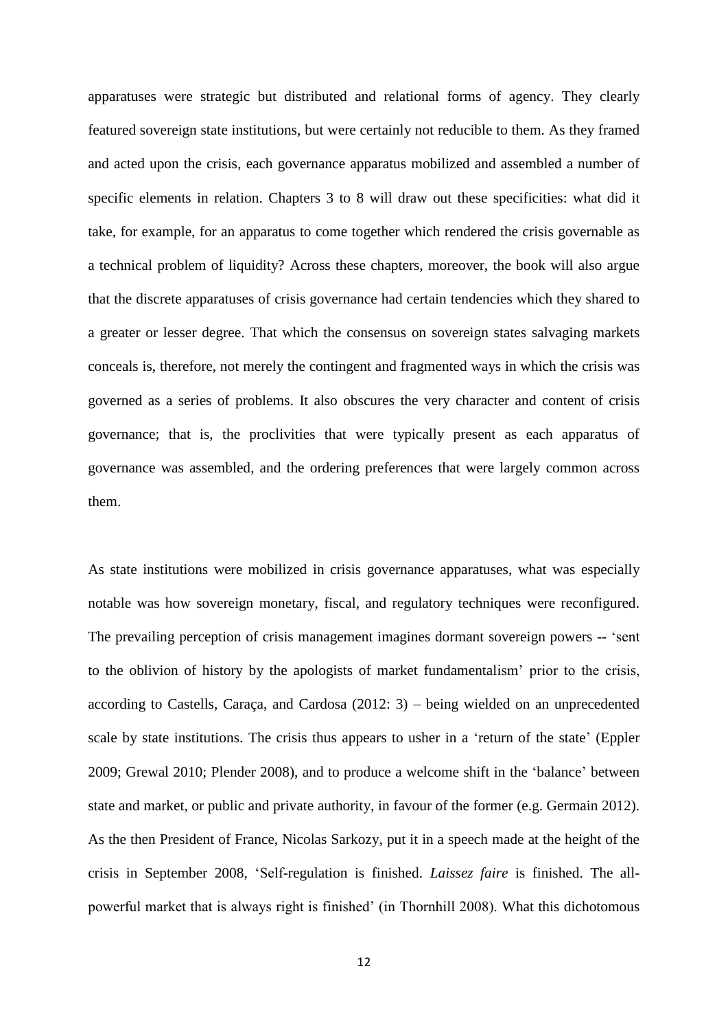apparatuses were strategic but distributed and relational forms of agency. They clearly featured sovereign state institutions, but were certainly not reducible to them. As they framed and acted upon the crisis, each governance apparatus mobilized and assembled a number of specific elements in relation. Chapters 3 to 8 will draw out these specificities: what did it take, for example, for an apparatus to come together which rendered the crisis governable as a technical problem of liquidity? Across these chapters, moreover, the book will also argue that the discrete apparatuses of crisis governance had certain tendencies which they shared to a greater or lesser degree. That which the consensus on sovereign states salvaging markets conceals is, therefore, not merely the contingent and fragmented ways in which the crisis was governed as a series of problems. It also obscures the very character and content of crisis governance; that is, the proclivities that were typically present as each apparatus of governance was assembled, and the ordering preferences that were largely common across them.

As state institutions were mobilized in crisis governance apparatuses, what was especially notable was how sovereign monetary, fiscal, and regulatory techniques were reconfigured. The prevailing perception of crisis management imagines dormant sovereign powers -- 'sent to the oblivion of history by the apologists of market fundamentalism' prior to the crisis, according to Castells, Caraça, and Cardosa (2012: 3) – being wielded on an unprecedented scale by state institutions. The crisis thus appears to usher in a 'return of the state' (Eppler 2009; Grewal 2010; Plender 2008), and to produce a welcome shift in the 'balance' between state and market, or public and private authority, in favour of the former (e.g. Germain 2012). As the then President of France, Nicolas Sarkozy, put it in a speech made at the height of the crisis in September 2008, 'Self-regulation is finished. *Laissez faire* is finished. The allpowerful market that is always right is finished' (in Thornhill 2008). What this dichotomous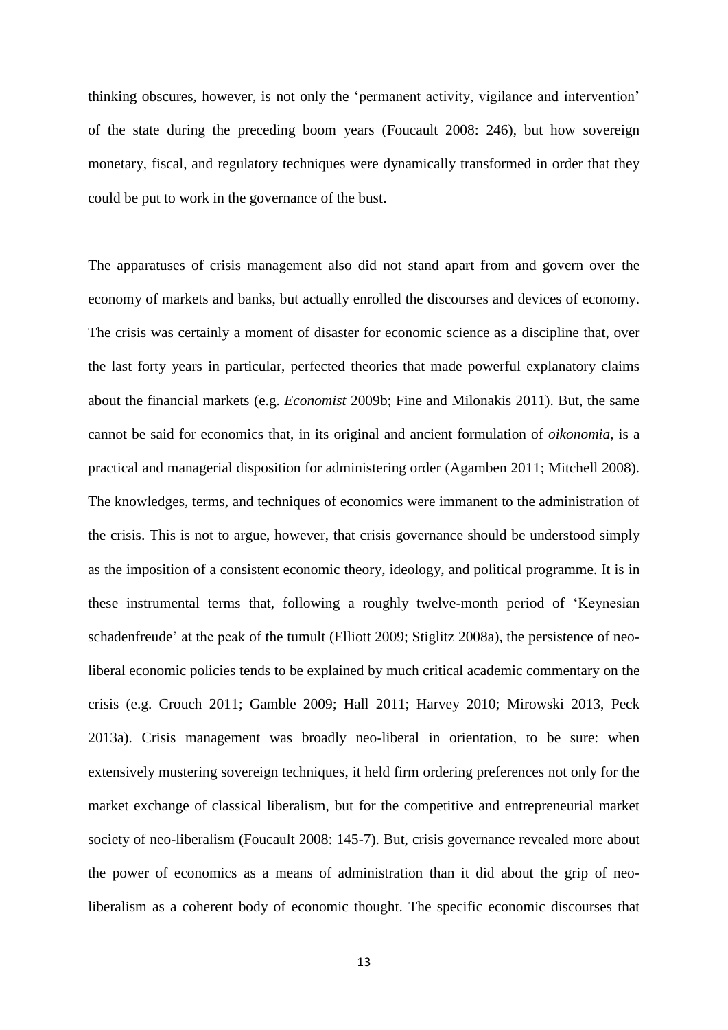thinking obscures, however, is not only the 'permanent activity, vigilance and intervention' of the state during the preceding boom years (Foucault 2008: 246), but how sovereign monetary, fiscal, and regulatory techniques were dynamically transformed in order that they could be put to work in the governance of the bust.

The apparatuses of crisis management also did not stand apart from and govern over the economy of markets and banks, but actually enrolled the discourses and devices of economy. The crisis was certainly a moment of disaster for economic science as a discipline that, over the last forty years in particular, perfected theories that made powerful explanatory claims about the financial markets (e.g. *Economist* 2009b; Fine and Milonakis 2011). But, the same cannot be said for economics that, in its original and ancient formulation of *oikonomia*, is a practical and managerial disposition for administering order (Agamben 2011; Mitchell 2008). The knowledges, terms, and techniques of economics were immanent to the administration of the crisis. This is not to argue, however, that crisis governance should be understood simply as the imposition of a consistent economic theory, ideology, and political programme. It is in these instrumental terms that, following a roughly twelve-month period of 'Keynesian schadenfreude' at the peak of the tumult (Elliott 2009; Stiglitz 2008a), the persistence of neoliberal economic policies tends to be explained by much critical academic commentary on the crisis (e.g. Crouch 2011; Gamble 2009; Hall 2011; Harvey 2010; Mirowski 2013, Peck 2013a). Crisis management was broadly neo-liberal in orientation, to be sure: when extensively mustering sovereign techniques, it held firm ordering preferences not only for the market exchange of classical liberalism, but for the competitive and entrepreneurial market society of neo-liberalism (Foucault 2008: 145-7). But, crisis governance revealed more about the power of economics as a means of administration than it did about the grip of neoliberalism as a coherent body of economic thought. The specific economic discourses that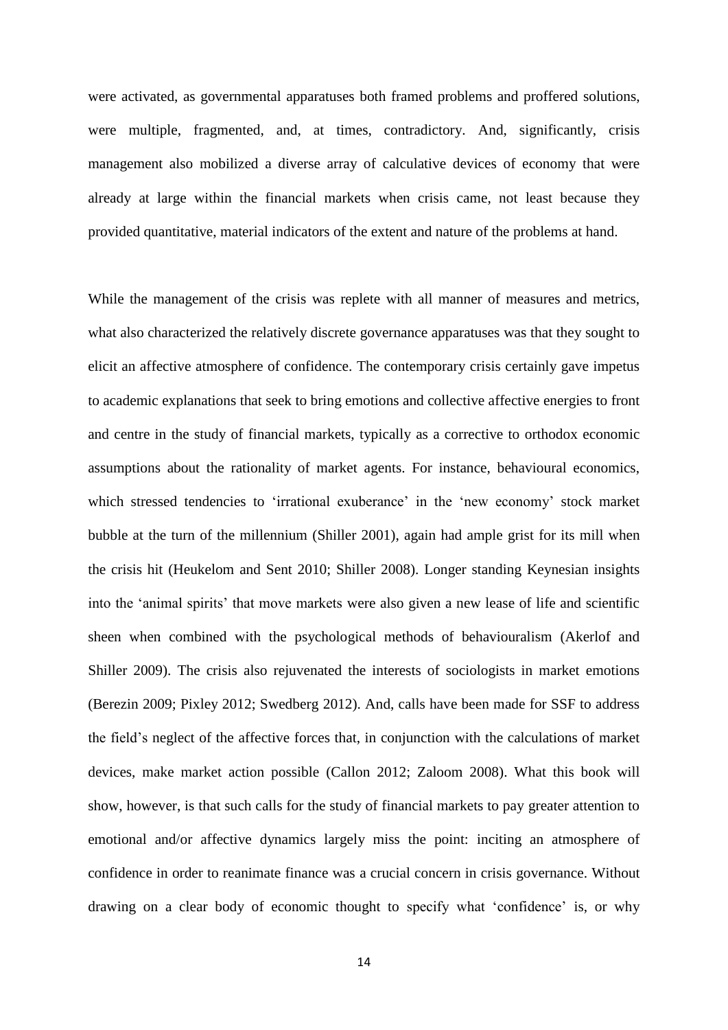were activated, as governmental apparatuses both framed problems and proffered solutions, were multiple, fragmented, and, at times, contradictory. And, significantly, crisis management also mobilized a diverse array of calculative devices of economy that were already at large within the financial markets when crisis came, not least because they provided quantitative, material indicators of the extent and nature of the problems at hand.

While the management of the crisis was replete with all manner of measures and metrics, what also characterized the relatively discrete governance apparatuses was that they sought to elicit an affective atmosphere of confidence. The contemporary crisis certainly gave impetus to academic explanations that seek to bring emotions and collective affective energies to front and centre in the study of financial markets, typically as a corrective to orthodox economic assumptions about the rationality of market agents. For instance, behavioural economics, which stressed tendencies to 'irrational exuberance' in the 'new economy' stock market bubble at the turn of the millennium (Shiller 2001), again had ample grist for its mill when the crisis hit (Heukelom and Sent 2010; Shiller 2008). Longer standing Keynesian insights into the 'animal spirits' that move markets were also given a new lease of life and scientific sheen when combined with the psychological methods of behaviouralism (Akerlof and Shiller 2009). The crisis also rejuvenated the interests of sociologists in market emotions (Berezin 2009; Pixley 2012; Swedberg 2012). And, calls have been made for SSF to address the field's neglect of the affective forces that, in conjunction with the calculations of market devices, make market action possible (Callon 2012; Zaloom 2008). What this book will show, however, is that such calls for the study of financial markets to pay greater attention to emotional and/or affective dynamics largely miss the point: inciting an atmosphere of confidence in order to reanimate finance was a crucial concern in crisis governance. Without drawing on a clear body of economic thought to specify what 'confidence' is, or why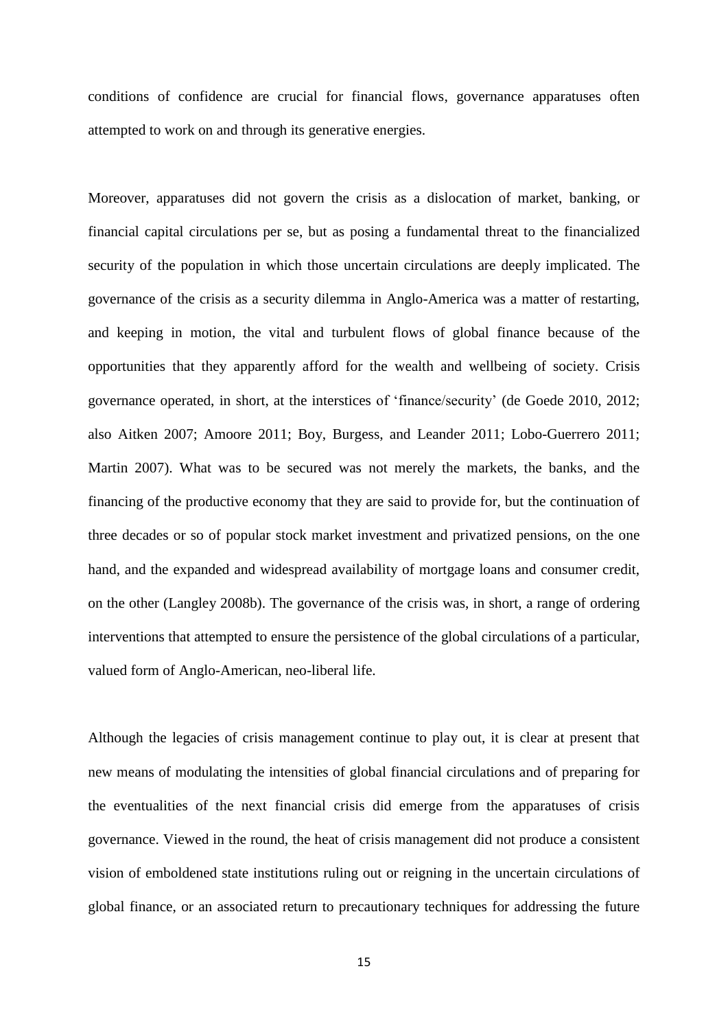conditions of confidence are crucial for financial flows, governance apparatuses often attempted to work on and through its generative energies.

Moreover, apparatuses did not govern the crisis as a dislocation of market, banking, or financial capital circulations per se, but as posing a fundamental threat to the financialized security of the population in which those uncertain circulations are deeply implicated. The governance of the crisis as a security dilemma in Anglo-America was a matter of restarting, and keeping in motion, the vital and turbulent flows of global finance because of the opportunities that they apparently afford for the wealth and wellbeing of society. Crisis governance operated, in short, at the interstices of 'finance/security' (de Goede 2010, 2012; also Aitken 2007; Amoore 2011; Boy, Burgess, and Leander 2011; Lobo-Guerrero 2011; Martin 2007). What was to be secured was not merely the markets, the banks, and the financing of the productive economy that they are said to provide for, but the continuation of three decades or so of popular stock market investment and privatized pensions, on the one hand, and the expanded and widespread availability of mortgage loans and consumer credit, on the other (Langley 2008b). The governance of the crisis was, in short, a range of ordering interventions that attempted to ensure the persistence of the global circulations of a particular, valued form of Anglo-American, neo-liberal life.

Although the legacies of crisis management continue to play out, it is clear at present that new means of modulating the intensities of global financial circulations and of preparing for the eventualities of the next financial crisis did emerge from the apparatuses of crisis governance. Viewed in the round, the heat of crisis management did not produce a consistent vision of emboldened state institutions ruling out or reigning in the uncertain circulations of global finance, or an associated return to precautionary techniques for addressing the future